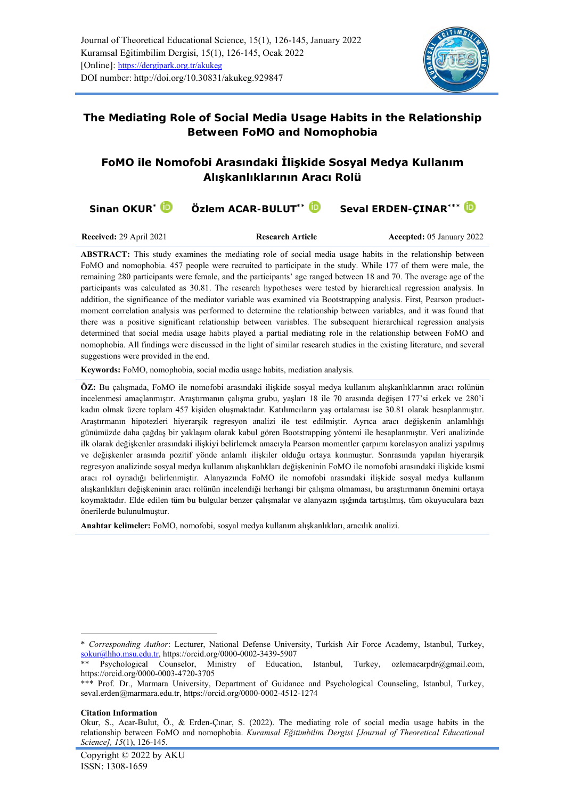

**The Mediating Role of Social Media Usage Habits in the Relationship Between FoMO and Nomophobia**

# **FoMO ile Nomofobi Arasındaki İlişkide Sosyal Medya Kullanım Alışkanlıklarının Aracı Rolü**

| Sinan OKUR <sup>*</sup>        | Özlem ACAR-BULUT** ID   | Seval ERDEN-CINAR <sup>***</sup> |
|--------------------------------|-------------------------|----------------------------------|
| <b>Received: 29 April 2021</b> | <b>Research Article</b> | <b>Accepted: 05 January 2022</b> |

**ABSTRACT:** This study examines the mediating role of social media usage habits in the relationship between FoMO and nomophobia. 457 people were recruited to participate in the study. While 177 of them were male, the remaining 280 participants were female, and the participants' age ranged between 18 and 70. The average age of the participants was calculated as 30.81. The research hypotheses were tested by hierarchical regression analysis. In addition, the significance of the mediator variable was examined via Bootstrapping analysis. First, Pearson productmoment correlation analysis was performed to determine the relationship between variables, and it was found that there was a positive significant relationship between variables. The subsequent hierarchical regression analysis determined that social media usage habits played a partial mediating role in the relationship between FoMO and nomophobia. All findings were discussed in the light of similar research studies in the existing literature, and several suggestions were provided in the end.

**Keywords:** FoMO, nomophobia, social media usage habits, mediation analysis.

**ÖZ:** Bu çalışmada, FoMO ile nomofobi arasındaki ilişkide sosyal medya kullanım alışkanlıklarının aracı rolünün incelenmesi amaçlanmıştır. Araştırmanın çalışma grubu, yaşları 18 ile 70 arasında değişen 177'si erkek ve 280'i kadın olmak üzere toplam 457 kişiden oluşmaktadır. Katılımcıların yaş ortalaması ise 30.81 olarak hesaplanmıştır. Araştırmanın hipotezleri hiyerarşik regresyon analizi ile test edilmiştir. Ayrıca aracı değişkenin anlamlılığı günümüzde daha çağdaş bir yaklaşım olarak kabul gören Bootstrapping yöntemi ile hesaplanmıştır. Veri analizinde ilk olarak değişkenler arasındaki ilişkiyi belirlemek amacıyla Pearson momentler çarpımı korelasyon analizi yapılmış ve değişkenler arasında pozitif yönde anlamlı ilişkiler olduğu ortaya konmuştur. Sonrasında yapılan hiyerarşik regresyon analizinde sosyal medya kullanım alışkanlıkları değişkeninin FoMO ile nomofobi arasındaki ilişkide kısmi aracı rol oynadığı belirlenmiştir. Alanyazında FoMO ile nomofobi arasındaki ilişkide sosyal medya kullanım alışkanlıkları değişkeninin aracı rolünün incelendiği herhangi bir çalışma olmaması, bu araştırmanın önemini ortaya koymaktadır. Elde edilen tüm bu bulgular benzer çalışmalar ve alanyazın ışığında tartışılmış, tüm okuyuculara bazı önerilerde bulunulmuştur.

**Anahtar kelimeler:** FoMO, nomofobi, sosyal medya kullanım alışkanlıkları, aracılık analizi.

#### **Citation Information**

<sup>\*</sup> *Corresponding Author*: Lecturer, National Defense University, Turkish Air Force Academy, Istanbul, Turkey, [sokur@hho.msu.edu.tr,](mailto:sokur@hho.msu.edu.tr)<https://orcid.org/0000-0002-3439-5907>

Psychological Counselor, Ministry of Education, Istanbul, Turkey, [ozlemacarpdr@gmail.com,](mailto:ozlemacarpdr@gmail.com) <https://orcid.org/0000-0003-4720-3705>

<sup>\*\*\*</sup> Prof. Dr., Marmara University, Department of Guidance and Psychological Counseling, Istanbul, Turkey, [seval.erden@marmara.edu.tr,](mailto:seval.erden@marmara.edu.tr)<https://orcid.org/0000-0002-4512-1274>

Okur, S., Acar-Bulut, Ö., & Erden-Çınar, S. (2022). The mediating role of social media usage habits in the relationship between FoMO and nomophobia. *Kuramsal Eğitimbilim Dergisi [Journal of Theoretical Educational Science], 15*(1), 126-145.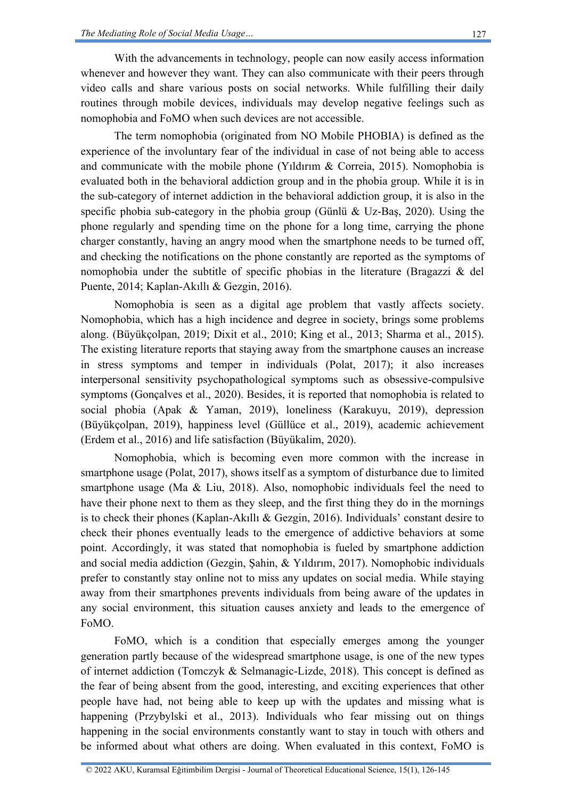With the advancements in technology, people can now easily access information whenever and however they want. They can also communicate with their peers through video calls and share various posts on social networks. While fulfilling their daily routines through mobile devices, individuals may develop negative feelings such as nomophobia and FoMO when such devices are not accessible.

The term nomophobia (originated from NO Mobile PHOBIA) is defined as the experience of the involuntary fear of the individual in case of not being able to access and communicate with the mobile phone (Yıldırım & Correia, 2015). Nomophobia is evaluated both in the behavioral addiction group and in the phobia group. While it is in the sub-category of internet addiction in the behavioral addiction group, it is also in the specific phobia sub-category in the phobia group (Günlü & Uz-Baş, 2020). Using the phone regularly and spending time on the phone for a long time, carrying the phone charger constantly, having an angry mood when the smartphone needs to be turned off, and checking the notifications on the phone constantly are reported as the symptoms of nomophobia under the subtitle of specific phobias in the literature (Bragazzi & del Puente, 2014; Kaplan-Akıllı & Gezgin, 2016).

Nomophobia is seen as a digital age problem that vastly affects society. Nomophobia, which has a high incidence and degree in society, brings some problems along. (Büyükçolpan, 2019; Dixit et al., 2010; King et al., 2013; Sharma et al., 2015). The existing literature reports that staying away from the smartphone causes an increase in stress symptoms and temper in individuals (Polat, 2017); it also increases interpersonal sensitivity psychopathological symptoms such as obsessive-compulsive symptoms (Gonçalves et al., 2020). Besides, it is reported that nomophobia is related to social phobia (Apak & Yaman, 2019), loneliness (Karakuyu, 2019), depression (Büyükçolpan, 2019), happiness level (Güllüce et al., 2019), academic achievement (Erdem et al., 2016) and life satisfaction (Büyükalim, 2020).

Nomophobia, which is becoming even more common with the increase in smartphone usage (Polat, 2017), shows itself as a symptom of disturbance due to limited smartphone usage (Ma  $& Liu, 2018$ ). Also, nomophobic individuals feel the need to have their phone next to them as they sleep, and the first thing they do in the mornings is to check their phones (Kaplan-Akıllı & Gezgin, 2016). Individuals' constant desire to check their phones eventually leads to the emergence of addictive behaviors at some point. Accordingly, it was stated that nomophobia is fueled by smartphone addiction and social media addiction (Gezgin, Şahin, & Yıldırım, 2017). Nomophobic individuals prefer to constantly stay online not to miss any updates on social media. While staying away from their smartphones prevents individuals from being aware of the updates in any social environment, this situation causes anxiety and leads to the emergence of FoMO.

FoMO, which is a condition that especially emerges among the younger generation partly because of the widespread smartphone usage, is one of the new types of internet addiction (Tomczyk & Selmanagic-Lizde, 2018). This concept is defined as the fear of being absent from the good, interesting, and exciting experiences that other people have had, not being able to keep up with the updates and missing what is happening (Przybylski et al., 2013). Individuals who fear missing out on things happening in the social environments constantly want to stay in touch with others and be informed about what others are doing. When evaluated in this context, FoMO is

© 2022 AKU, Kuramsal Eğitimbilim Dergisi - Journal of Theoretical Educational Science, 15(1), 126-145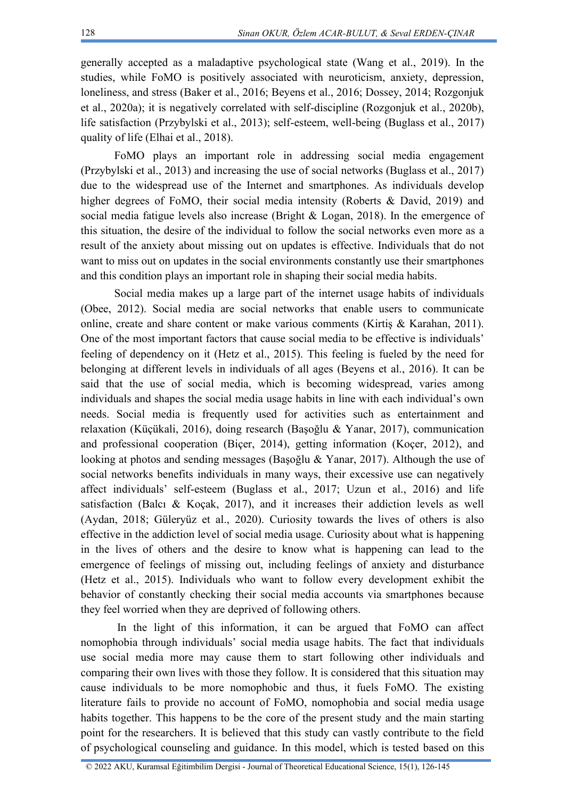generally accepted as a maladaptive psychological state (Wang et al., 2019). In the studies, while FoMO is positively associated with neuroticism, anxiety, depression, loneliness, and stress (Baker et al., 2016; Beyens et al., 2016; Dossey, 2014; Rozgonjuk et al., 2020a); it is negatively correlated with self-discipline (Rozgonjuk et al., 2020b), life satisfaction (Przybylski et al., 2013); self-esteem, well-being (Buglass et al., 2017) quality of life (Elhai et al., 2018).

FoMO plays an important role in addressing social media engagement (Przybylski et al., 2013) and increasing the use of social networks (Buglass et al., 2017) due to the widespread use of the Internet and smartphones. As individuals develop higher degrees of FoMO, their social media intensity (Roberts & David, 2019) and social media fatigue levels also increase (Bright & Logan, 2018). In the emergence of this situation, the desire of the individual to follow the social networks even more as a result of the anxiety about missing out on updates is effective. Individuals that do not want to miss out on updates in the social environments constantly use their smartphones and this condition plays an important role in shaping their social media habits.

Social media makes up a large part of the internet usage habits of individuals (Obee, 2012). Social media are social networks that enable users to communicate online, create and share content or make various comments (Kirtis  $\&$  Karahan, 2011). One of the most important factors that cause social media to be effective is individuals' feeling of dependency on it (Hetz et al., 2015). This feeling is fueled by the need for belonging at different levels in individuals of all ages (Beyens et al., 2016). It can be said that the use of social media, which is becoming widespread, varies among individuals and shapes the social media usage habits in line with each individual's own needs. Social media is frequently used for activities such as entertainment and relaxation (Küçükali, 2016), doing research (Başoğlu & Yanar, 2017), communication and professional cooperation (Biçer, 2014), getting information (Koçer, 2012), and looking at photos and sending messages (Başoğlu & Yanar, 2017). Although the use of social networks benefits individuals in many ways, their excessive use can negatively affect individuals' self-esteem (Buglass et al., 2017; Uzun et al., 2016) and life satisfaction (Balcı & Koçak, 2017), and it increases their addiction levels as well (Aydan, 2018; Güleryüz et al., 2020). Curiosity towards the lives of others is also effective in the addiction level of social media usage. Curiosity about what is happening in the lives of others and the desire to know what is happening can lead to the emergence of feelings of missing out, including feelings of anxiety and disturbance (Hetz et al., 2015). Individuals who want to follow every development exhibit the behavior of constantly checking their social media accounts via smartphones because they feel worried when they are deprived of following others.

In the light of this information, it can be argued that FoMO can affect nomophobia through individuals' social media usage habits. The fact that individuals use social media more may cause them to start following other individuals and comparing their own lives with those they follow. It is considered that this situation may cause individuals to be more nomophobic and thus, it fuels FoMO. The existing literature fails to provide no account of FoMO, nomophobia and social media usage habits together. This happens to be the core of the present study and the main starting point for the researchers. It is believed that this study can vastly contribute to the field of psychological counseling and guidance. In this model, which is tested based on this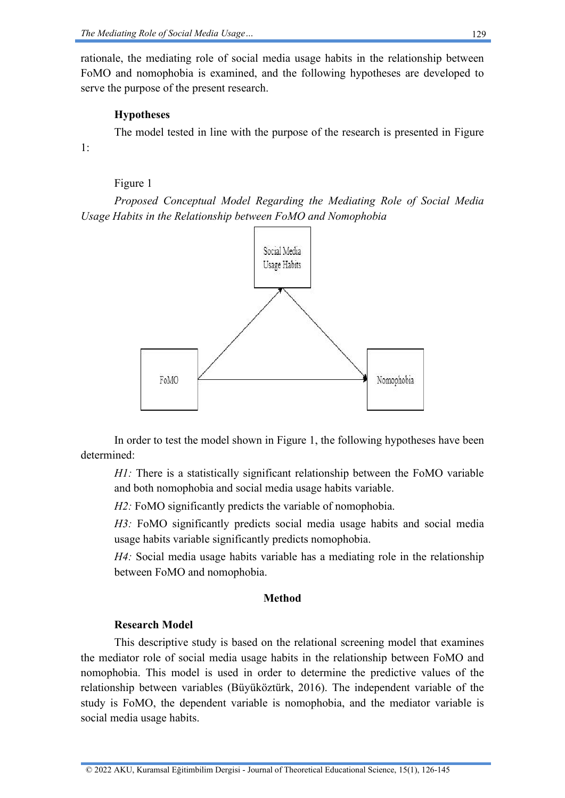rationale, the mediating role of social media usage habits in the relationship between FoMO and nomophobia is examined, and the following hypotheses are developed to serve the purpose of the present research.

## **Hypotheses**

The model tested in line with the purpose of the research is presented in Figure 1:

## Figure 1

*Proposed Conceptual Model Regarding the Mediating Role of Social Media Usage Habits in the Relationship between FoMO and Nomophobia*



In order to test the model shown in Figure 1, the following hypotheses have been determined:

*H1*: There is a statistically significant relationship between the FoMO variable and both nomophobia and social media usage habits variable.

*H2:* FoMO significantly predicts the variable of nomophobia.

*H3:* FoMO significantly predicts social media usage habits and social media usage habits variable significantly predicts nomophobia.

*H4:* Social media usage habits variable has a mediating role in the relationship between FoMO and nomophobia.

## **Method**

## **Research Model**

This descriptive study is based on the relational screening model that examines the mediator role of social media usage habits in the relationship between FoMO and nomophobia. This model is used in order to determine the predictive values of the relationship between variables (Büyüköztürk, 2016). The independent variable of the study is FoMO, the dependent variable is nomophobia, and the mediator variable is social media usage habits.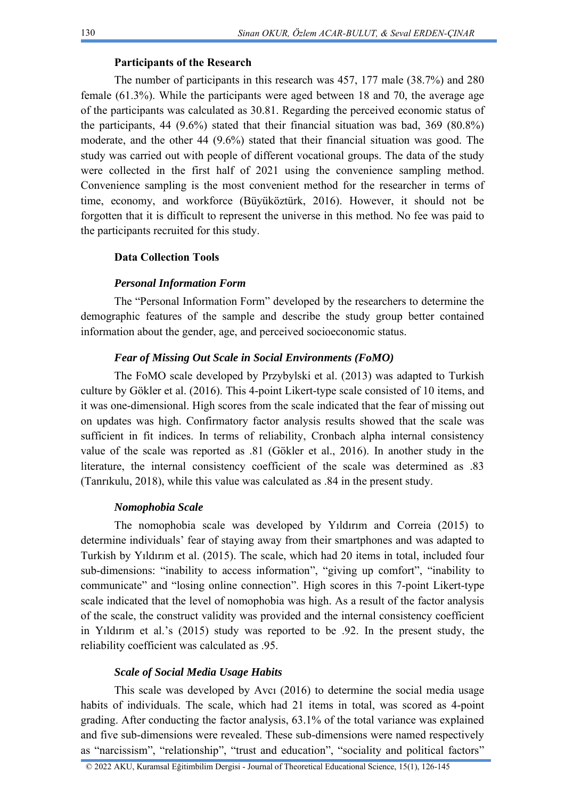## **Participants of the Research**

The number of participants in this research was 457, 177 male (38.7%) and 280 female (61.3%). While the participants were aged between 18 and 70, the average age of the participants was calculated as 30.81. Regarding the perceived economic status of the participants, 44 (9.6%) stated that their financial situation was bad, 369 (80.8%) moderate, and the other 44 (9.6%) stated that their financial situation was good. The study was carried out with people of different vocational groups. The data of the study were collected in the first half of 2021 using the convenience sampling method. Convenience sampling is the most convenient method for the researcher in terms of time, economy, and workforce (Büyüköztürk, 2016). However, it should not be forgotten that it is difficult to represent the universe in this method. No fee was paid to the participants recruited for this study.

## **Data Collection Tools**

## *Personal Information Form*

The "Personal Information Form" developed by the researchers to determine the demographic features of the sample and describe the study group better contained information about the gender, age, and perceived socioeconomic status.

## *Fear of Missing Out Scale in Social Environments (FoMO)*

The FoMO scale developed by Przybylski et al. (2013) was adapted to Turkish culture by Gökler et al. (2016). This 4-point Likert-type scale consisted of 10 items, and it was one-dimensional. High scores from the scale indicated that the fear of missing out on updates was high. Confirmatory factor analysis results showed that the scale was sufficient in fit indices. In terms of reliability, Cronbach alpha internal consistency value of the scale was reported as .81 (Gökler et al., 2016). In another study in the literature, the internal consistency coefficient of the scale was determined as .83 (Tanrıkulu, 2018), while this value was calculated as .84 in the present study.

## *Nomophobia Scale*

The nomophobia scale was developed by Yıldırım and Correia (2015) to determine individuals' fear of staying away from their smartphones and was adapted to Turkish by Yıldırım et al. (2015). The scale, which had 20 items in total, included four sub-dimensions: "inability to access information", "giving up comfort", "inability to communicate" and "losing online connection". High scores in this 7-point Likert-type scale indicated that the level of nomophobia was high. As a result of the factor analysis of the scale, the construct validity was provided and the internal consistency coefficient in Yıldırım et al.'s (2015) study was reported to be .92. In the present study, the reliability coefficient was calculated as .95.

#### *Scale of Social Media Usage Habits*

This scale was developed by Avcı (2016) to determine the social media usage habits of individuals. The scale, which had 21 items in total, was scored as 4-point grading. After conducting the factor analysis, 63.1% of the total variance was explained and five sub-dimensions were revealed. These sub-dimensions were named respectively as "narcissism", "relationship", "trust and education", "sociality and political factors"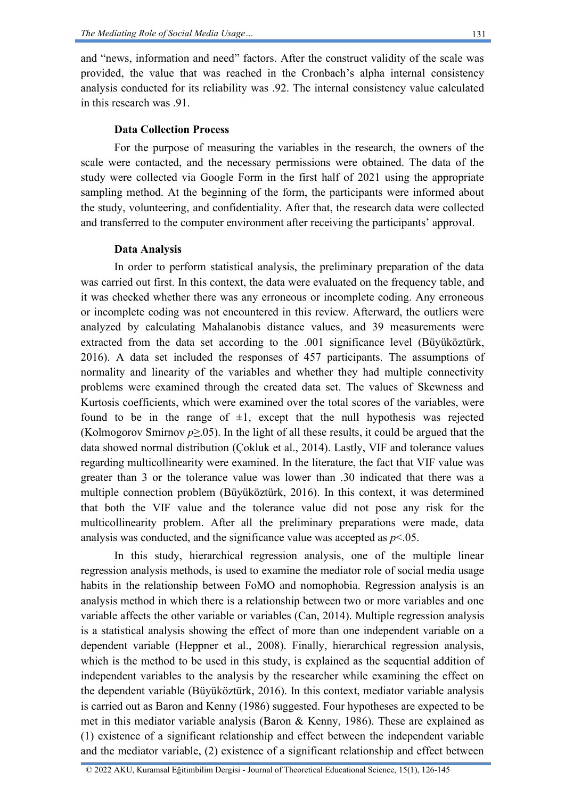and "news, information and need" factors. After the construct validity of the scale was provided, the value that was reached in the Cronbach's alpha internal consistency analysis conducted for its reliability was .92. The internal consistency value calculated in this research was 91

## **Data Collection Process**

For the purpose of measuring the variables in the research, the owners of the scale were contacted, and the necessary permissions were obtained. The data of the study were collected via Google Form in the first half of 2021 using the appropriate sampling method. At the beginning of the form, the participants were informed about the study, volunteering, and confidentiality. After that, the research data were collected and transferred to the computer environment after receiving the participants' approval.

#### **Data Analysis**

In order to perform statistical analysis, the preliminary preparation of the data was carried out first. In this context, the data were evaluated on the frequency table, and it was checked whether there was any erroneous or incomplete coding. Any erroneous or incomplete coding was not encountered in this review. Afterward, the outliers were analyzed by calculating Mahalanobis distance values, and 39 measurements were extracted from the data set according to the .001 significance level (Büyüköztürk, 2016). A data set included the responses of 457 participants. The assumptions of normality and linearity of the variables and whether they had multiple connectivity problems were examined through the created data set. The values of Skewness and Kurtosis coefficients, which were examined over the total scores of the variables, were found to be in the range of  $\pm 1$ , except that the null hypothesis was rejected (Kolmogorov Smirnov *p*≥.05). In the light of all these results, it could be argued that the data showed normal distribution (Çokluk et al., 2014). Lastly, VIF and tolerance values regarding multicollinearity were examined. In the literature, the fact that VIF value was greater than 3 or the tolerance value was lower than .30 indicated that there was a multiple connection problem (Büyüköztürk, 2016). In this context, it was determined that both the VIF value and the tolerance value did not pose any risk for the multicollinearity problem. After all the preliminary preparations were made, data analysis was conducted, and the significance value was accepted as *p*<.05.

In this study, hierarchical regression analysis, one of the multiple linear regression analysis methods, is used to examine the mediator role of social media usage habits in the relationship between FoMO and nomophobia. Regression analysis is an analysis method in which there is a relationship between two or more variables and one variable affects the other variable or variables (Can, 2014). Multiple regression analysis is a statistical analysis showing the effect of more than one independent variable on a dependent variable (Heppner et al., 2008). Finally, hierarchical regression analysis, which is the method to be used in this study, is explained as the sequential addition of independent variables to the analysis by the researcher while examining the effect on the dependent variable (Büyüköztürk, 2016). In this context, mediator variable analysis is carried out as Baron and Kenny (1986) suggested. Four hypotheses are expected to be met in this mediator variable analysis (Baron & Kenny, 1986). These are explained as (1) existence of a significant relationship and effect between the independent variable and the mediator variable, (2) existence of a significant relationship and effect between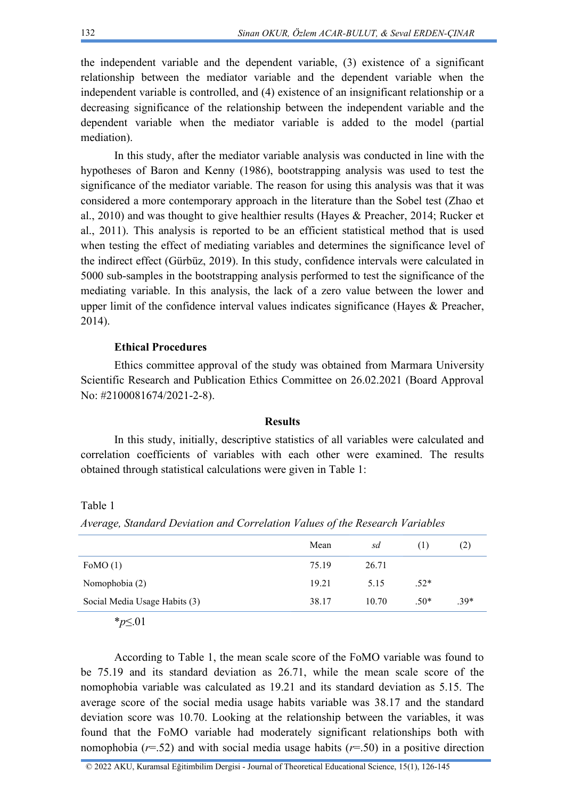the independent variable and the dependent variable, (3) existence of a significant relationship between the mediator variable and the dependent variable when the independent variable is controlled, and (4) existence of an insignificant relationship or a decreasing significance of the relationship between the independent variable and the dependent variable when the mediator variable is added to the model (partial mediation).

In this study, after the mediator variable analysis was conducted in line with the hypotheses of Baron and Kenny (1986), bootstrapping analysis was used to test the significance of the mediator variable. The reason for using this analysis was that it was considered a more contemporary approach in the literature than the Sobel test (Zhao et al., 2010) and was thought to give healthier results (Hayes & Preacher, 2014; Rucker et al., 2011). This analysis is reported to be an efficient statistical method that is used when testing the effect of mediating variables and determines the significance level of the indirect effect (Gürbüz, 2019). In this study, confidence intervals were calculated in 5000 sub-samples in the bootstrapping analysis performed to test the significance of the mediating variable. In this analysis, the lack of a zero value between the lower and upper limit of the confidence interval values indicates significance (Hayes & Preacher, 2014).

## **Ethical Procedures**

Ethics committee approval of the study was obtained from Marmara University Scientific Research and Publication Ethics Committee on 26.02.2021 (Board Approval No: #2100081674/2021-2-8).

#### **Results**

In this study, initially, descriptive statistics of all variables were calculated and correlation coefficients of variables with each other were examined. The results obtained through statistical calculations were given in Table 1:

Table 1

*Average, Standard Deviation and Correlation Values of the Research Variables*

|                               | Mean  | sd    | $\Box$ | (2)    |
|-------------------------------|-------|-------|--------|--------|
| FoMO $(1)$                    | 75.19 | 26.71 |        |        |
| Nomophobia (2)                | 19.21 | 5.15  | $.52*$ |        |
| Social Media Usage Habits (3) | 38.17 | 10.70 | $.50*$ | $.39*$ |
|                               |       |       |        |        |

\**p*≤.01

According to Table 1, the mean scale score of the FoMO variable was found to be 75.19 and its standard deviation as 26.71, while the mean scale score of the nomophobia variable was calculated as 19.21 and its standard deviation as 5.15. The average score of the social media usage habits variable was 38.17 and the standard deviation score was 10.70. Looking at the relationship between the variables, it was found that the FoMO variable had moderately significant relationships both with nomophobia ( $r=52$ ) and with social media usage habits ( $r=50$ ) in a positive direction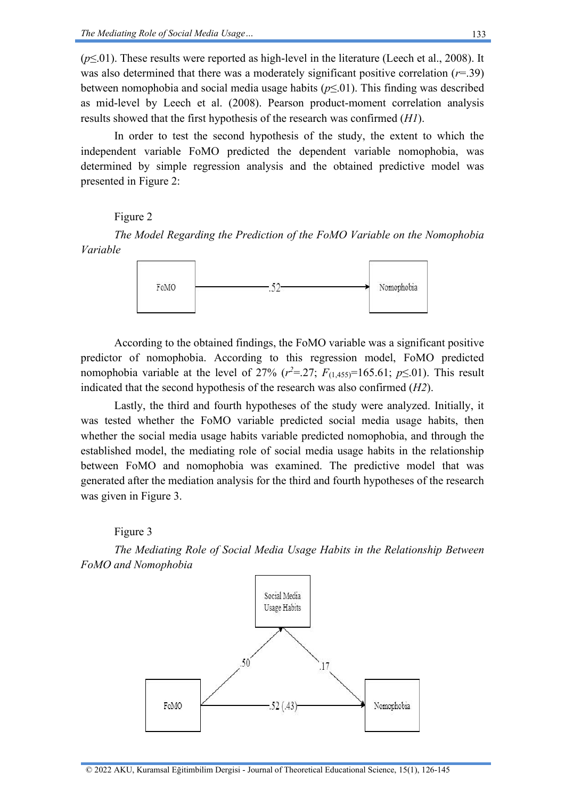(*p*≤.01). These results were reported as high-level in the literature (Leech et al., 2008). It was also determined that there was a moderately significant positive correlation (*r*=.39) between nomophobia and social media usage habits (*p*≤.01). This finding was described as mid-level by Leech et al. (2008). Pearson product-moment correlation analysis results showed that the first hypothesis of the research was confirmed (*H1*).

In order to test the second hypothesis of the study, the extent to which the independent variable FoMO predicted the dependent variable nomophobia, was determined by simple regression analysis and the obtained predictive model was presented in Figure 2:

Figure 2

*The Model Regarding the Prediction of the FoMO Variable on the Nomophobia Variable*



According to the obtained findings, the FoMO variable was a significant positive predictor of nomophobia. According to this regression model, FoMO predicted nomophobia variable at the level of 27% ( $r^2 = 27$ ;  $F_{(1,455)} = 165.61$ ;  $p \le 01$ ). This result indicated that the second hypothesis of the research was also confirmed (*H2*).

Lastly, the third and fourth hypotheses of the study were analyzed. Initially, it was tested whether the FoMO variable predicted social media usage habits, then whether the social media usage habits variable predicted nomophobia, and through the established model, the mediating role of social media usage habits in the relationship between FoMO and nomophobia was examined. The predictive model that was generated after the mediation analysis for the third and fourth hypotheses of the research was given in Figure 3.

#### Figure 3

*The Mediating Role of Social Media Usage Habits in the Relationship Between FoMO and Nomophobia*

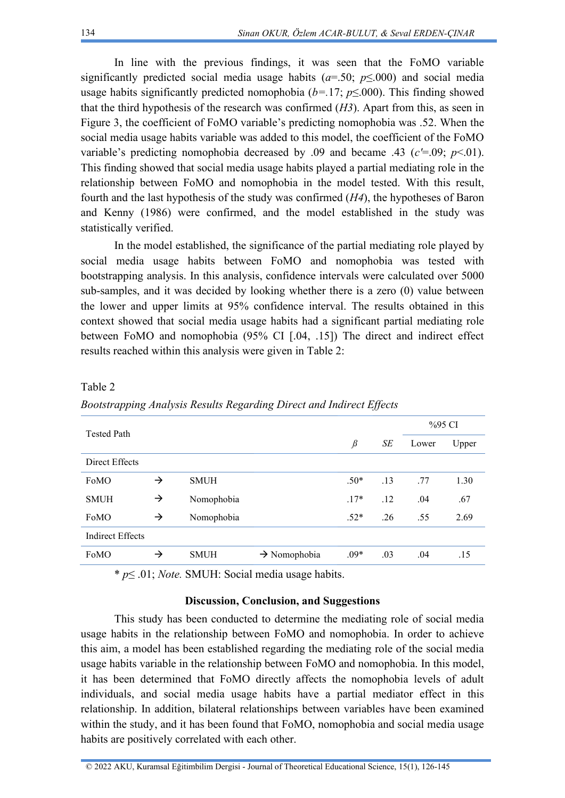In line with the previous findings, it was seen that the FoMO variable significantly predicted social media usage habits ( $a=50$ ;  $p\leq000$ ) and social media usage habits significantly predicted nomophobia ( $b=17$ ;  $p\leq 000$ ). This finding showed that the third hypothesis of the research was confirmed (*H3*). Apart from this, as seen in Figure 3, the coefficient of FoMO variable's predicting nomophobia was .52. When the social media usage habits variable was added to this model, the coefficient of the FoMO variable's predicting nomophobia decreased by .09 and became .43 ( $c' = .09$ ;  $p < .01$ ). This finding showed that social media usage habits played a partial mediating role in the relationship between FoMO and nomophobia in the model tested. With this result, fourth and the last hypothesis of the study was confirmed (*H4*), the hypotheses of Baron and Kenny (1986) were confirmed, and the model established in the study was statistically verified.

In the model established, the significance of the partial mediating role played by social media usage habits between FoMO and nomophobia was tested with bootstrapping analysis. In this analysis, confidence intervals were calculated over 5000 sub-samples, and it was decided by looking whether there is a zero (0) value between the lower and upper limits at 95% confidence interval. The results obtained in this context showed that social media usage habits had a significant partial mediating role between FoMO and nomophobia (95% CI [.04, .15]) The direct and indirect effect results reached within this analysis were given in Table 2:

| <b>Tested Path</b>      |               |             |                          |         |     | %95 CI |       |
|-------------------------|---------------|-------------|--------------------------|---------|-----|--------|-------|
|                         |               |             |                          | $\beta$ | SЕ  | Lower  | Upper |
| Direct Effects          |               |             |                          |         |     |        |       |
| FoMO                    | $\rightarrow$ | <b>SMUH</b> |                          | $.50*$  | .13 | .77    | 1.30  |
| <b>SMUH</b>             | $\rightarrow$ | Nomophobia  |                          | $17*$   | .12 | .04    | .67   |
| FoMO                    | $\rightarrow$ | Nomophobia  |                          | $.52*$  | .26 | .55    | 2.69  |
| <b>Indirect Effects</b> |               |             |                          |         |     |        |       |
| FoMO                    | $\rightarrow$ | <b>SMUH</b> | $\rightarrow$ Nomophobia | $.09*$  | .03 | .04    | .15   |

Table 2

*Bootstrapping Analysis Results Regarding Direct and Indirect Effects*

\* *p*≤ .01; *Note.* SMUH: Social media usage habits.

## **Discussion, Conclusion, and Suggestions**

This study has been conducted to determine the mediating role of social media usage habits in the relationship between FoMO and nomophobia. In order to achieve this aim, a model has been established regarding the mediating role of the social media usage habits variable in the relationship between FoMO and nomophobia. In this model, it has been determined that FoMO directly affects the nomophobia levels of adult individuals, and social media usage habits have a partial mediator effect in this relationship. In addition, bilateral relationships between variables have been examined within the study, and it has been found that FoMO, nomophobia and social media usage habits are positively correlated with each other.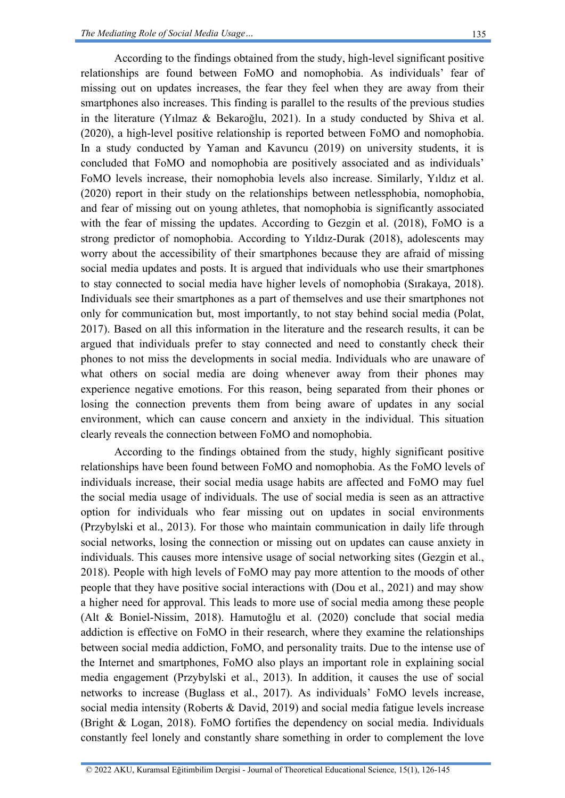According to the findings obtained from the study, high-level significant positive relationships are found between FoMO and nomophobia. As individuals' fear of missing out on updates increases, the fear they feel when they are away from their smartphones also increases. This finding is parallel to the results of the previous studies in the literature (Yılmaz & Bekaroğlu, 2021). In a study conducted by Shiva et al. (2020), a high-level positive relationship is reported between FoMO and nomophobia. In a study conducted by Yaman and Kavuncu (2019) on university students, it is concluded that FoMO and nomophobia are positively associated and as individuals' FoMO levels increase, their nomophobia levels also increase. Similarly, Yıldız et al. (2020) report in their study on the relationships between netlessphobia, nomophobia, and fear of missing out on young athletes, that nomophobia is significantly associated with the fear of missing the updates. According to Gezgin et al. (2018), FoMO is a strong predictor of nomophobia. According to Yıldız-Durak (2018), adolescents may worry about the accessibility of their smartphones because they are afraid of missing social media updates and posts. It is argued that individuals who use their smartphones to stay connected to social media have higher levels of nomophobia (Sırakaya, 2018). Individuals see their smartphones as a part of themselves and use their smartphones not only for communication but, most importantly, to not stay behind social media (Polat, 2017). Based on all this information in the literature and the research results, it can be argued that individuals prefer to stay connected and need to constantly check their phones to not miss the developments in social media. Individuals who are unaware of what others on social media are doing whenever away from their phones may experience negative emotions. For this reason, being separated from their phones or losing the connection prevents them from being aware of updates in any social environment, which can cause concern and anxiety in the individual. This situation clearly reveals the connection between FoMO and nomophobia.

According to the findings obtained from the study, highly significant positive relationships have been found between FoMO and nomophobia. As the FoMO levels of individuals increase, their social media usage habits are affected and FoMO may fuel the social media usage of individuals. The use of social media is seen as an attractive option for individuals who fear missing out on updates in social environments (Przybylski et al., 2013). For those who maintain communication in daily life through social networks, losing the connection or missing out on updates can cause anxiety in individuals. This causes more intensive usage of social networking sites (Gezgin et al., 2018). People with high levels of FoMO may pay more attention to the moods of other people that they have positive social interactions with (Dou et al., 2021) and may show a higher need for approval. This leads to more use of social media among these people (Alt & Boniel-Nissim, 2018). Hamutoğlu et al. (2020) conclude that social media addiction is effective on FoMO in their research, where they examine the relationships between social media addiction, FoMO, and personality traits. Due to the intense use of the Internet and smartphones, FoMO also plays an important role in explaining social media engagement (Przybylski et al., 2013). In addition, it causes the use of social networks to increase (Buglass et al., 2017). As individuals' FoMO levels increase, social media intensity (Roberts & David, 2019) and social media fatigue levels increase (Bright & Logan, 2018). FoMO fortifies the dependency on social media. Individuals constantly feel lonely and constantly share something in order to complement the love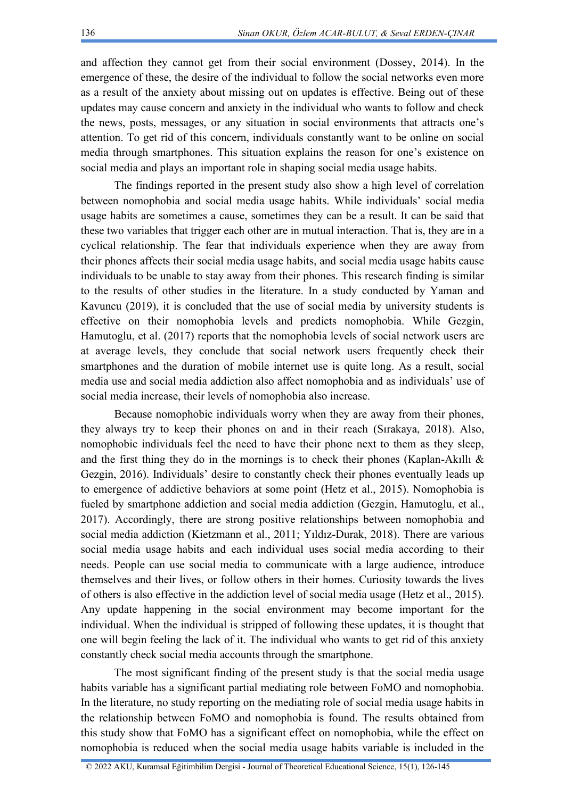and affection they cannot get from their social environment (Dossey, 2014). In the emergence of these, the desire of the individual to follow the social networks even more as a result of the anxiety about missing out on updates is effective. Being out of these updates may cause concern and anxiety in the individual who wants to follow and check the news, posts, messages, or any situation in social environments that attracts one's attention. To get rid of this concern, individuals constantly want to be online on social media through smartphones. This situation explains the reason for one's existence on social media and plays an important role in shaping social media usage habits.

The findings reported in the present study also show a high level of correlation between nomophobia and social media usage habits. While individuals' social media usage habits are sometimes a cause, sometimes they can be a result. It can be said that these two variables that trigger each other are in mutual interaction. That is, they are in a cyclical relationship. The fear that individuals experience when they are away from their phones affects their social media usage habits, and social media usage habits cause individuals to be unable to stay away from their phones. This research finding is similar to the results of other studies in the literature. In a study conducted by Yaman and Kavuncu (2019), it is concluded that the use of social media by university students is effective on their nomophobia levels and predicts nomophobia. While Gezgin, Hamutoglu, et al. (2017) reports that the nomophobia levels of social network users are at average levels, they conclude that social network users frequently check their smartphones and the duration of mobile internet use is quite long. As a result, social media use and social media addiction also affect nomophobia and as individuals' use of social media increase, their levels of nomophobia also increase.

Because nomophobic individuals worry when they are away from their phones, they always try to keep their phones on and in their reach (Sırakaya, 2018). Also, nomophobic individuals feel the need to have their phone next to them as they sleep, and the first thing they do in the mornings is to check their phones (Kaplan-Akıllı  $\&$ Gezgin, 2016). Individuals' desire to constantly check their phones eventually leads up to emergence of addictive behaviors at some point (Hetz et al., 2015). Nomophobia is fueled by smartphone addiction and social media addiction (Gezgin, Hamutoglu, et al., 2017). Accordingly, there are strong positive relationships between nomophobia and social media addiction (Kietzmann et al., 2011; Yıldız-Durak, 2018). There are various social media usage habits and each individual uses social media according to their needs. People can use social media to communicate with a large audience, introduce themselves and their lives, or follow others in their homes. Curiosity towards the lives of others is also effective in the addiction level of social media usage (Hetz et al., 2015). Any update happening in the social environment may become important for the individual. When the individual is stripped of following these updates, it is thought that one will begin feeling the lack of it. The individual who wants to get rid of this anxiety constantly check social media accounts through the smartphone.

The most significant finding of the present study is that the social media usage habits variable has a significant partial mediating role between FoMO and nomophobia. In the literature, no study reporting on the mediating role of social media usage habits in the relationship between FoMO and nomophobia is found. The results obtained from this study show that FoMO has a significant effect on nomophobia, while the effect on nomophobia is reduced when the social media usage habits variable is included in the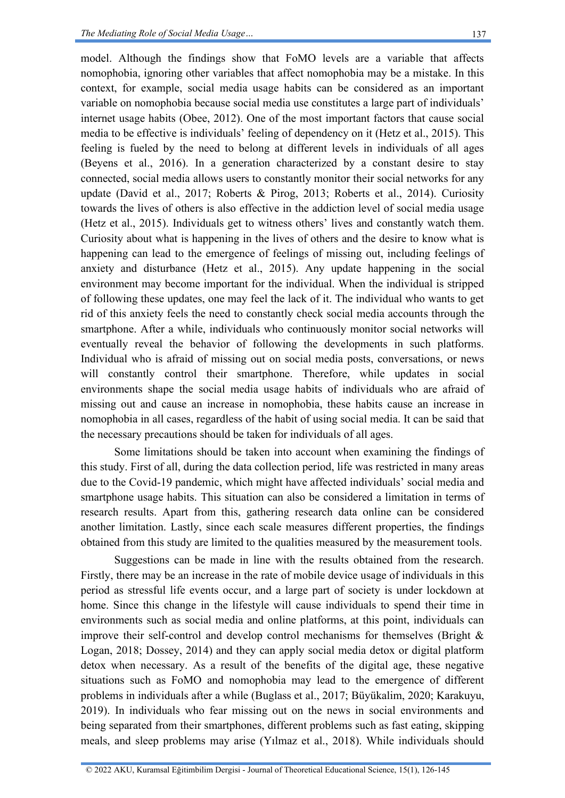model. Although the findings show that FoMO levels are a variable that affects nomophobia, ignoring other variables that affect nomophobia may be a mistake. In this context, for example, social media usage habits can be considered as an important variable on nomophobia because social media use constitutes a large part of individuals' internet usage habits (Obee, 2012). One of the most important factors that cause social media to be effective is individuals' feeling of dependency on it (Hetz et al., 2015). This feeling is fueled by the need to belong at different levels in individuals of all ages (Beyens et al., 2016). In a generation characterized by a constant desire to stay connected, social media allows users to constantly monitor their social networks for any update (David et al., 2017; Roberts & Pirog, 2013; Roberts et al., 2014). Curiosity towards the lives of others is also effective in the addiction level of social media usage (Hetz et al., 2015). Individuals get to witness others' lives and constantly watch them. Curiosity about what is happening in the lives of others and the desire to know what is happening can lead to the emergence of feelings of missing out, including feelings of anxiety and disturbance (Hetz et al., 2015). Any update happening in the social environment may become important for the individual. When the individual is stripped of following these updates, one may feel the lack of it. The individual who wants to get rid of this anxiety feels the need to constantly check social media accounts through the smartphone. After a while, individuals who continuously monitor social networks will eventually reveal the behavior of following the developments in such platforms. Individual who is afraid of missing out on social media posts, conversations, or news will constantly control their smartphone. Therefore, while updates in social environments shape the social media usage habits of individuals who are afraid of missing out and cause an increase in nomophobia, these habits cause an increase in nomophobia in all cases, regardless of the habit of using social media. It can be said that the necessary precautions should be taken for individuals of all ages.

Some limitations should be taken into account when examining the findings of this study. First of all, during the data collection period, life was restricted in many areas due to the Covid-19 pandemic, which might have affected individuals' social media and smartphone usage habits. This situation can also be considered a limitation in terms of research results. Apart from this, gathering research data online can be considered another limitation. Lastly, since each scale measures different properties, the findings obtained from this study are limited to the qualities measured by the measurement tools.

Suggestions can be made in line with the results obtained from the research. Firstly, there may be an increase in the rate of mobile device usage of individuals in this period as stressful life events occur, and a large part of society is under lockdown at home. Since this change in the lifestyle will cause individuals to spend their time in environments such as social media and online platforms, at this point, individuals can improve their self-control and develop control mechanisms for themselves (Bright  $\&$ Logan, 2018; Dossey, 2014) and they can apply social media detox or digital platform detox when necessary. As a result of the benefits of the digital age, these negative situations such as FoMO and nomophobia may lead to the emergence of different problems in individuals after a while (Buglass et al., 2017; Büyükalim, 2020; Karakuyu, 2019). In individuals who fear missing out on the news in social environments and being separated from their smartphones, different problems such as fast eating, skipping meals, and sleep problems may arise (Yılmaz et al., 2018). While individuals should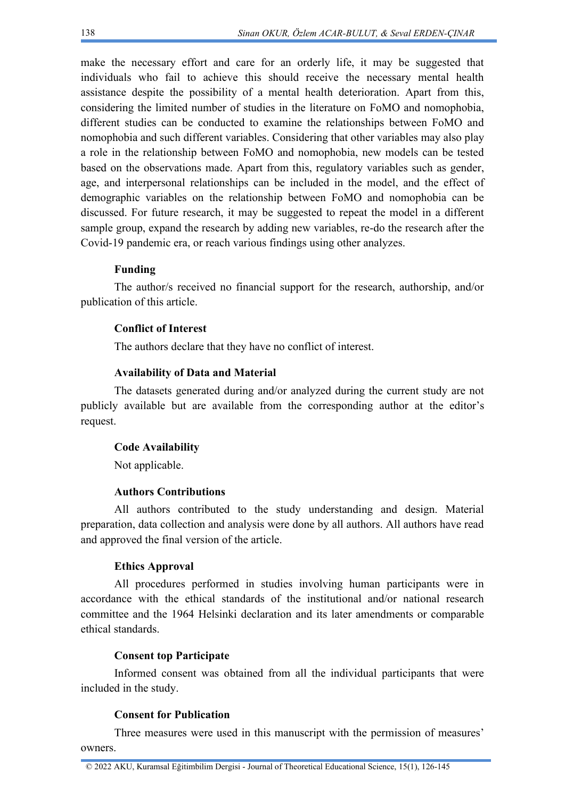make the necessary effort and care for an orderly life, it may be suggested that individuals who fail to achieve this should receive the necessary mental health assistance despite the possibility of a mental health deterioration. Apart from this, considering the limited number of studies in the literature on FoMO and nomophobia, different studies can be conducted to examine the relationships between FoMO and nomophobia and such different variables. Considering that other variables may also play a role in the relationship between FoMO and nomophobia, new models can be tested based on the observations made. Apart from this, regulatory variables such as gender, age, and interpersonal relationships can be included in the model, and the effect of demographic variables on the relationship between FoMO and nomophobia can be discussed. For future research, it may be suggested to repeat the model in a different sample group, expand the research by adding new variables, re-do the research after the Covid-19 pandemic era, or reach various findings using other analyzes.

## **Funding**

The author/s received no financial support for the research, authorship, and/or publication of this article.

## **Conflict of Interest**

The authors declare that they have no conflict of interest.

### **Availability of Data and Material**

The datasets generated during and/or analyzed during the current study are not publicly available but are available from the corresponding author at the editor's request.

### **Code Availability**

Not applicable.

### **Authors Contributions**

All authors contributed to the study understanding and design. Material preparation, data collection and analysis were done by all authors. All authors have read and approved the final version of the article.

#### **Ethics Approval**

All procedures performed in studies involving human participants were in accordance with the ethical standards of the institutional and/or national research committee and the 1964 Helsinki declaration and its later amendments or comparable ethical standards.

#### **Consent top Participate**

Informed consent was obtained from all the individual participants that were included in the study.

## **Consent for Publication**

Three measures were used in this manuscript with the permission of measures' owners.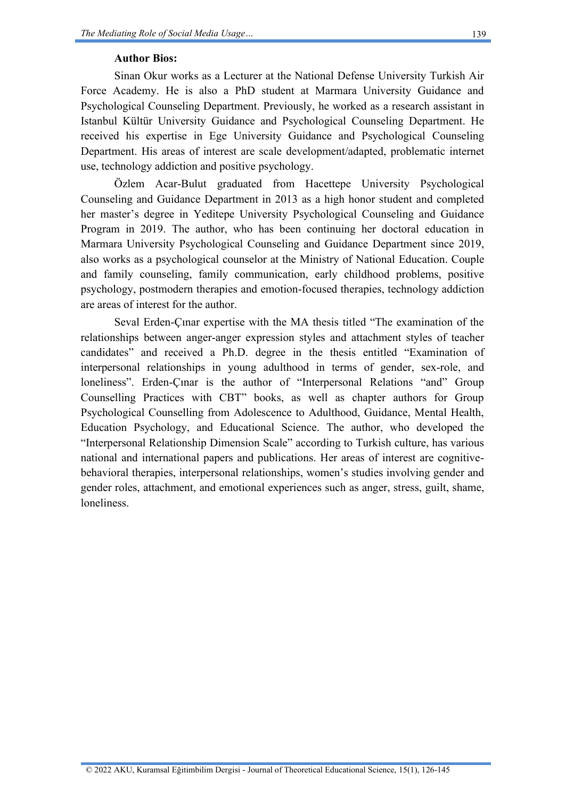## **Author Bios:**

Sinan Okur works as a Lecturer at the National Defense University Turkish Air Force Academy. He is also a PhD student at Marmara University Guidance and Psychological Counseling Department. Previously, he worked as a research assistant in Istanbul Kültür University Guidance and Psychological Counseling Department. He received his expertise in Ege University Guidance and Psychological Counseling Department. His areas of interest are scale development/adapted, problematic internet use, technology addiction and positive psychology.

Özlem Acar-Bulut graduated from Hacettepe University Psychological Counseling and Guidance Department in 2013 as a high honor student and completed her master's degree in Yeditepe University Psychological Counseling and Guidance Program in 2019. The author, who has been continuing her doctoral education in Marmara University Psychological Counseling and Guidance Department since 2019, also works as a psychological counselor at the Ministry of National Education. Couple and family counseling, family communication, early childhood problems, positive psychology, postmodern therapies and emotion-focused therapies, technology addiction are areas of interest for the author.

Seval Erden-Çınar expertise with the MA thesis titled "The examination of the relationships between anger-anger expression styles and attachment styles of teacher candidates" and received a Ph.D. degree in the thesis entitled "Examination of interpersonal relationships in young adulthood in terms of gender, sex-role, and loneliness". Erden-Çınar is the author of "Interpersonal Relations "and" Group Counselling Practices with CBT" books, as well as chapter authors for Group Psychological Counselling from Adolescence to Adulthood, Guidance, Mental Health, Education Psychology, and Educational Science. The author, who developed the "Interpersonal Relationship Dimension Scale" according to Turkish culture, has various national and international papers and publications. Her areas of interest are cognitivebehavioral therapies, interpersonal relationships, women's studies involving gender and gender roles, attachment, and emotional experiences such as anger, stress, guilt, shame, loneliness.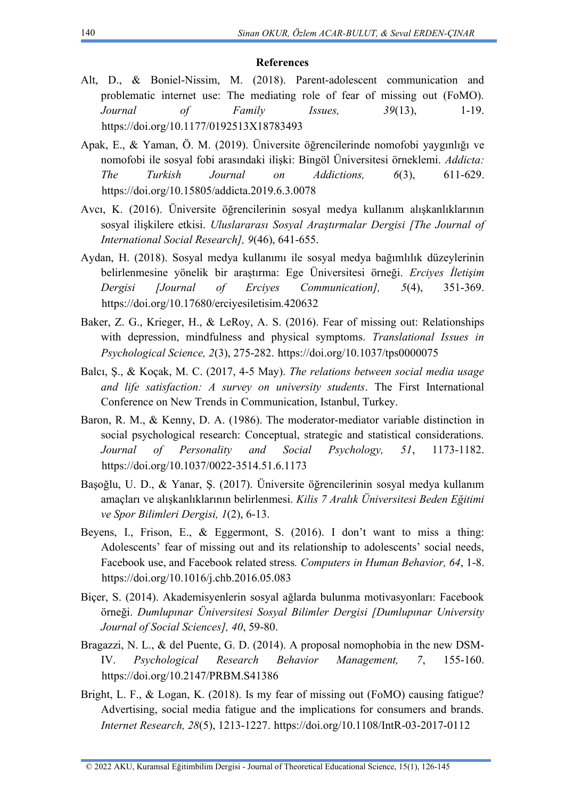#### **References**

- Alt, D., & Boniel-Nissim, M. (2018). Parent-adolescent communication and problematic internet use: The mediating role of fear of missing out (FoMO). *Journal of Family Issues, 39*(13), 1-19. [https://doi.org/10.1177/0192513X18783493](https://doi.org/10.1177%2F0192513X18783493)
- Apak, E., & Yaman, Ö. M. (2019). Üniversite öğrencilerinde nomofobi yaygınlığı ve nomofobi ile sosyal fobi arasındaki ilişki: Bingöl Üniversitesi örneklemi. *Addicta: The Turkish Journal on Addictions, 6*(3), 611-629. <https://doi.org/10.15805/addicta.2019.6.3.0078>
- Avcı, K. (2016). Üniversite öğrencilerinin sosyal medya kullanım alışkanlıklarının sosyal ilişkilere etkisi. *Uluslararası Sosyal Araştırmalar Dergisi [The Journal of International Social Research], 9*(46), 641-655.
- Aydan, H. (2018). Sosyal medya kullanımı ile sosyal medya bağımlılık düzeylerinin belirlenmesine yönelik bir araştırma: Ege Üniversitesi örneği. *Erciyes İletişim Dergisi [Journal of Erciyes Communication], 5*(4), 351-369. <https://doi.org/10.17680/erciyesiletisim.420632>
- Baker, Z. G., Krieger, H., & LeRoy, A. S. (2016). Fear of missing out: Relationships with depression, mindfulness and physical symptoms. *Translational Issues in Psychological Science, 2*(3), 275-282.<https://doi.org/10.1037/tps0000075>
- Balcı, Ş., & Koçak, M. C. (2017, 4-5 May). *The relations between social media usage and life satisfaction: A survey on university students*. The First International Conference on New Trends in Communication, Istanbul, Turkey.
- Baron, R. M., & Kenny, D. A. (1986). The moderator-mediator variable distinction in social psychological research: Conceptual, strategic and statistical considerations. *Journal of Personality and Social Psychology, 51*, 1173-1182. <https://doi.org/10.1037/0022-3514.51.6.1173>
- Başoğlu, U. D., & Yanar, Ş. (2017). Üniversite öğrencilerinin sosyal medya kullanım amaçları ve alışkanlıklarının belirlenmesi. *Kilis 7 Aralık Üniversitesi Beden Eğitimi ve Spor Bilimleri Dergisi, 1*(2), 6-13.
- Beyens, I., Frison, E.,  $\&$  Eggermont, S. (2016). I don't want to miss a thing: Adolescents' fear of missing out and its relationship to adolescents' social needs, Facebook use, and Facebook related stress*. Computers in Human Behavior, 64*, 1-8. <https://doi.org/10.1016/j.chb.2016.05.083>
- Biçer, S. (2014). Akademisyenlerin sosyal ağlarda bulunma motivasyonları: Facebook örneği. *Dumlupınar Üniversitesi Sosyal Bilimler Dergisi [Dumlupınar University Journal of Social Sciences], 40*, 59-80.
- Bragazzi, N. L., & del Puente, G. D. (2014). A proposal nomophobia in the new DSM-IV. *Psychological Research Behavior Management, 7*, 155-160. <https://doi.org/10.2147/PRBM.S41386>
- Bright, L. F., & Logan, K. (2018). Is my fear of missing out (FoMO) causing fatigue? Advertising, social media fatigue and the implications for consumers and brands. *Internet Research, 28*(5), 1213-1227.<https://doi.org/10.1108/IntR-03-2017-0112>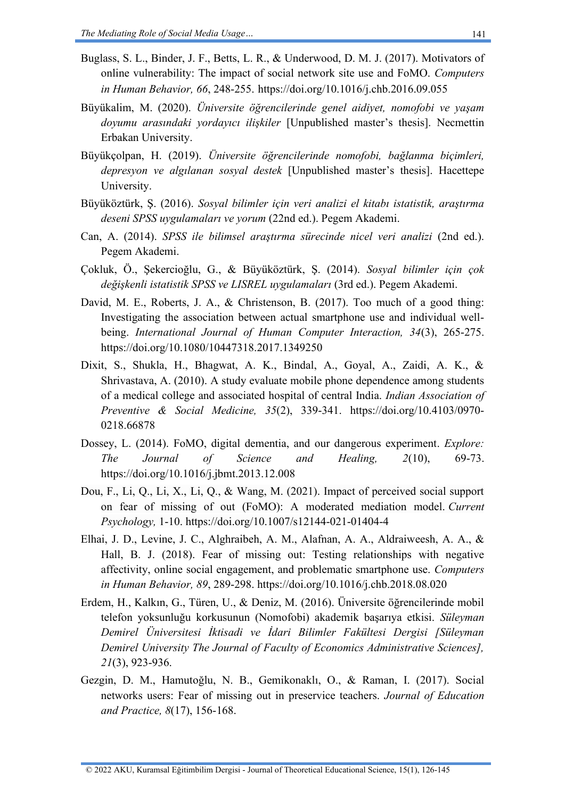- Buglass, S. L., Binder, J. F., Betts, L. R., & Underwood, D. M. J. (2017). Motivators of online vulnerability: The impact of social network site use and FoMO. *Computers in Human Behavior, 66*, 248-255.<https://doi.org/10.1016/j.chb.2016.09.055>
- Büyükalim, M. (2020). *Üniversite öğrencilerinde genel aidiyet, nomofobi ve yaşam doyumu arasındaki yordayıcı ilişkiler* [Unpublished master's thesis]. Necmettin Erbakan University.
- Büyükçolpan, H. (2019). *Üniversite öğrencilerinde nomofobi, bağlanma biçimleri, depresyon ve algılanan sosyal destek* [Unpublished master's thesis]. Hacettepe University.
- Büyüköztürk, Ş. (2016). *Sosyal bilimler için veri analizi el kitabı istatistik, araştırma deseni SPSS uygulamaları ve yorum* (22nd ed.). Pegem Akademi.
- Can, A. (2014). *SPSS ile bilimsel araştırma sürecinde nicel veri analizi* (2nd ed.). Pegem Akademi.
- Çokluk, Ö., Şekercioğlu, G., & Büyüköztürk, Ş. (2014). *Sosyal bilimler için çok değişkenli istatistik SPSS ve LISREL uygulamaları* (3rd ed.). Pegem Akademi.
- David, M. E., Roberts, J. A., & Christenson, B. (2017). Too much of a good thing: Investigating the association between actual smartphone use and individual wellbeing. *International Journal of Human Computer Interaction, 34*(3), 265-275. <https://doi.org/10.1080/10447318.2017.1349250>
- Dixit, S., Shukla, H., Bhagwat, A. K., Bindal, A., Goyal, A., Zaidi, A. K., & Shrivastava, A. (2010). A study evaluate mobile phone dependence among students of a medical college and associated hospital of central India. *Indian Association of Preventive & Social Medicine, 35*(2), 339-341. [https://doi.org/10.4103/0970-](https://doi.org/10.4103/0970-0218.66878) [0218.66878](https://doi.org/10.4103/0970-0218.66878)
- Dossey, L. (2014). FoMO, digital dementia, and our dangerous experiment. *Explore: The Journal of Science and Healing, 2*(10), 69-73. <https://doi.org/10.1016/j.jbmt.2013.12.008>
- Dou, F., Li, Q., Li, X., Li, Q., & Wang, M. (2021). Impact of perceived social support on fear of missing of out (FoMO): A moderated mediation model. *Current Psychology,* 1-10. <https://doi.org/10.1007/s12144-021-01404-4>
- Elhai, J. D., Levine, J. C., Alghraibeh, A. M., Alafnan, A. A., Aldraiweesh, A. A., & Hall, B. J. (2018). Fear of missing out: Testing relationships with negative affectivity, online social engagement, and problematic smartphone use. *Computers in Human Behavior, 89*, 289-298.<https://doi.org/10.1016/j.chb.2018.08.020>
- Erdem, H., Kalkın, G., Türen, U., & Deniz, M. (2016). Üniversite öğrencilerinde mobil telefon yoksunluğu korkusunun (Nomofobi) akademik başarıya etkisi. *Süleyman Demirel Üniversitesi İktisadi ve İdari Bilimler Fakültesi Dergisi [Süleyman Demirel University The Journal of Faculty of Economics Administrative Sciences], 21*(3), 923-936.
- Gezgin, D. M., Hamutoğlu, N. B., Gemikonaklı, O., & Raman, I. (2017). Social networks users: Fear of missing out in preservice teachers. *Journal of Education and Practice, 8*(17), 156-168.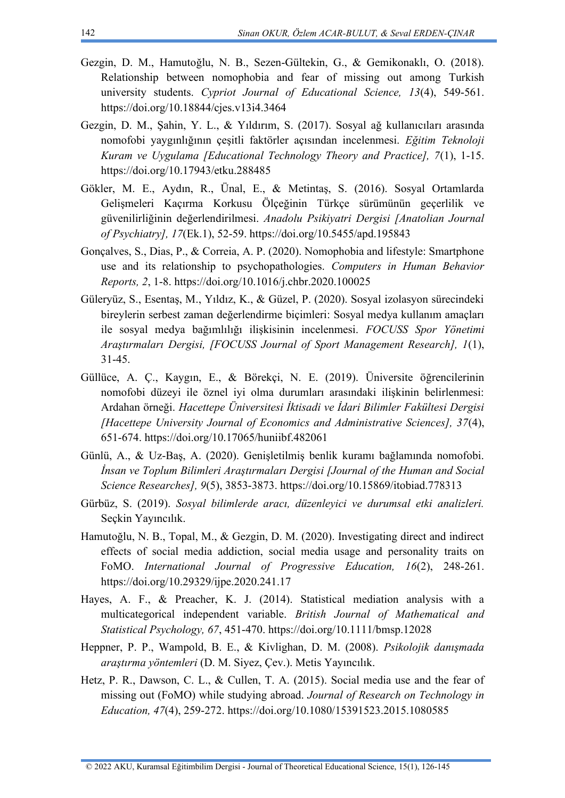- Gezgin, D. M., Hamutoğlu, N. B., Sezen-Gültekin, G., & Gemikonaklı, O. (2018). Relationship between nomophobia and fear of missing out among Turkish university students. *Cypriot Journal of Educational Science, 13*(4), 549-561. <https://doi.org/10.18844/cjes.v13i4.3464>
- Gezgin, D. M., Şahin, Y. L., & Yıldırım, S. (2017). Sosyal ağ kullanıcıları arasında nomofobi yaygınlığının çeşitli faktörler açısından incelenmesi. *Eğitim Teknoloji Kuram ve Uygulama [Educational Technology Theory and Practice], 7*(1), 1-15. <https://doi.org/10.17943/etku.288485>
- Gökler, M. E., Aydın, R., Ünal, E., & Metintaş, S. (2016). Sosyal Ortamlarda Gelişmeleri Kaçırma Korkusu Ölçeğinin Türkçe sürümünün geçerlilik ve güvenilirliğinin değerlendirilmesi. *Anadolu Psikiyatri Dergisi [Anatolian Journal of Psychiatry], 17*(Ek.1), 52-59.<https://doi.org/10.5455/apd.195843>
- Gonçalves, S., Dias, P., & Correia, A. P. (2020). Nomophobia and lifestyle: Smartphone use and its relationship to psychopathologies. *Computers in Human Behavior Reports, 2*, 1-8.<https://doi.org/10.1016/j.chbr.2020.100025>
- Güleryüz, S., Esentaş, M., Yıldız, K., & Güzel, P. (2020). Sosyal izolasyon sürecindeki bireylerin serbest zaman değerlendirme biçimleri: Sosyal medya kullanım amaçları ile sosyal medya bağımlılığı ilişkisinin incelenmesi. *FOCUSS Spor Yönetimi Araştırmaları Dergisi, [FOCUSS Journal of Sport Management Research], 1*(1), 31-45.
- Güllüce, A. Ç., Kaygın, E., & Börekçi, N. E. (2019). Üniversite öğrencilerinin nomofobi düzeyi ile öznel iyi olma durumları arasındaki ilişkinin belirlenmesi: Ardahan örneği. *Hacettepe Üniversitesi İktisadi ve İdari Bilimler Fakültesi Dergisi [Hacettepe University Journal of Economics and Administrative Sciences], 37*(4), 651-674.<https://doi.org/10.17065/huniibf.482061>
- Günlü, A., & Uz-Baş, A. (2020). Genişletilmiş benlik kuramı bağlamında nomofobi. *İnsan ve Toplum Bilimleri Araştırmaları Dergisi [Journal of the Human and Social Science Researches], 9*(5), 3853-3873.<https://doi.org/10.15869/itobiad.778313>
- Gürbüz, S. (2019). *Sosyal bilimlerde aracı, düzenleyici ve durumsal etki analizleri.*  Seçkin Yayıncılık.
- Hamutoğlu, N. B., Topal, M., & Gezgin, D. M. (2020). Investigating direct and indirect effects of social media addiction, social media usage and personality traits on FoMO. *International Journal of Progressive Education, 16*(2), 248-261. <https://doi.org/10.29329/ijpe.2020.241.17>
- Hayes, A. F., & Preacher, K. J. (2014). Statistical mediation analysis with a multicategorical independent variable. *British Journal of Mathematical and Statistical Psychology, 67*, 451-470.<https://doi.org/10.1111/bmsp.12028>
- Heppner, P. P., Wampold, B. E., & Kivlighan, D. M. (2008). *Psikolojik danışmada araştırma yöntemleri* (D. M. Siyez, Çev.). Metis Yayıncılık.
- Hetz, P. R., Dawson, C. L., & Cullen, T. A. (2015). Social media use and the fear of missing out (FoMO) while studying abroad. *Journal of Research on Technology in Education, 47*(4), 259-272.<https://doi.org/10.1080/15391523.2015.1080585>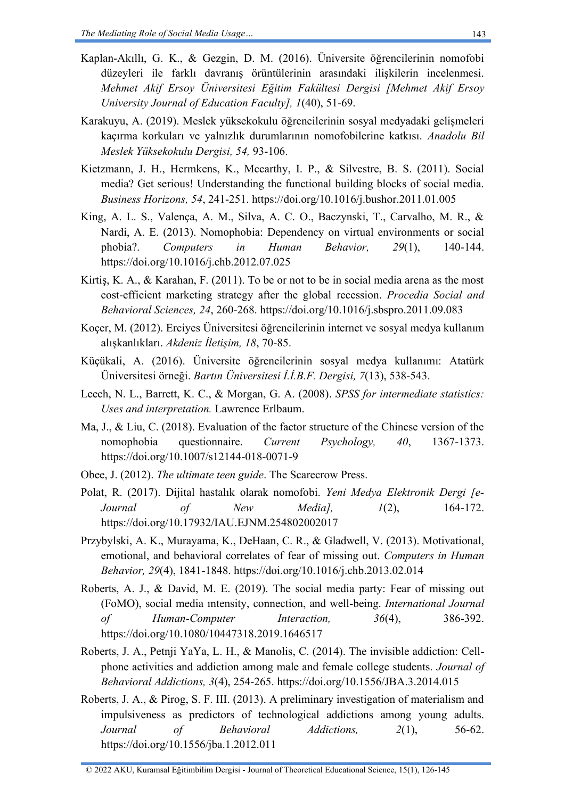- Kaplan-Akıllı, G. K., & Gezgin, D. M. (2016). Üniversite öğrencilerinin nomofobi düzeyleri ile farklı davranış örüntülerinin arasındaki ilişkilerin incelenmesi. *Mehmet Akif Ersoy Üniversitesi Eğitim Fakültesi Dergisi [Mehmet Akif Ersoy University Journal of Education Faculty], 1*(40), 51-69.
- Karakuyu, A. (2019). Meslek yüksekokulu öğrencilerinin sosyal medyadaki gelişmeleri kaçırma korkuları ve yalnızlık durumlarının nomofobilerine katkısı. *Anadolu Bil Meslek Yüksekokulu Dergisi, 54,* 93-106.
- Kietzmann, J. H., Hermkens, K., Mccarthy, I. P., & Silvestre, B. S. (2011). Social media? Get serious! Understanding the functional building blocks of social media. *Business Horizons, 54*, 241-251.<https://doi.org/10.1016/j.bushor.2011.01.005>
- King, A. L. S., Valença, A. M., Silva, A. C. O., Baczynski, T., Carvalho, M. R., & Nardi, A. E. (2013). Nomophobia: Dependency on virtual environments or social phobia?. *Computers in Human Behavior, 29*(1), 140-144. <https://doi.org/10.1016/j.chb.2012.07.025>
- Kirtiş, K. A., & Karahan, F. (2011). To be or not to be in social media arena as the most cost-efficient marketing strategy after the global recession. *Procedia Social and Behavioral Sciences, 24*, 260-268.<https://doi.org/10.1016/j.sbspro.2011.09.083>
- Koçer, M. (2012). Erciyes Üniversitesi öğrencilerinin internet ve sosyal medya kullanım alışkanlıkları. *Akdeniz İletişim, 18*, 70-85.
- Küçükali, A. (2016). Üniversite öğrencilerinin sosyal medya kullanımı: Atatürk Üniversitesi örneği. *Bartın Üniversitesi İ.İ.B.F. Dergisi, 7*(13), 538-543.
- Leech, N. L., Barrett, K. C., & Morgan, G. A. (2008). *SPSS for intermediate statistics: Uses and interpretation.* Lawrence Erlbaum.
- Ma, J., & Liu, C. (2018). Evaluation of the factor structure of the Chinese version of the nomophobia questionnaire. *Current Psychology, 40*, 1367-1373. <https://doi.org/10.1007/s12144-018-0071-9>
- Obee, J. (2012). *The ultimate teen guide*. The Scarecrow Press.
- Polat, R. (2017). Dijital hastalık olarak nomofobi. *Yeni Medya Elektronik Dergi [e-Journal of New Media], 1*(2), 164-172. <https://doi.org/10.17932/IAU.EJNM.254802002017>
- Przybylski, A. K., Murayama, K., DeHaan, C. R., & Gladwell, V. (2013). Motivational, emotional, and behavioral correlates of fear of missing out. *Computers in Human Behavior, 29*(4), 1841-1848.<https://doi.org/10.1016/j.chb.2013.02.014>
- Roberts, A. J., & David, M. E. (2019). The social media party: Fear of missing out (FoMO), social media ıntensity, connection, and well-being. *International Journal of Human-Computer Interaction, 36*(4), 386-392. <https://doi.org/10.1080/10447318.2019.1646517>
- Roberts, J. A., Petnji YaYa, L. H., & Manolis, C. (2014). The invisible addiction: Cellphone activities and addiction among male and female college students. *Journal of Behavioral Addictions, 3*(4), 254-265.<https://doi.org/10.1556/JBA.3.2014.015>
- Roberts, J. A., & Pirog, S. F. III. (2013). A preliminary investigation of materialism and impulsiveness as predictors of technological addictions among young adults. *Journal of Behavioral Addictions, 2*(1), 56-62. <https://doi.org/10.1556/jba.1.2012.011>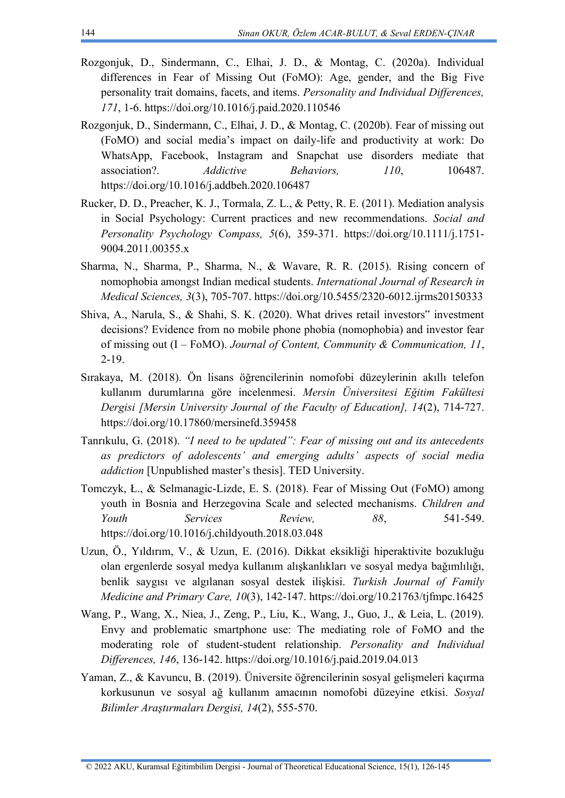- Rozgonjuk, D., Sindermann, C., Elhai, J. D., & Montag, C. (2020a). Individual differences in Fear of Missing Out (FoMO): Age, gender, and the Big Five personality trait domains, facets, and items. *Personality and Individual Differences, 171*, 1-6.<https://doi.org/10.1016/j.paid.2020.110546>
- Rozgonjuk, D., Sindermann, C., Elhai, J. D., & Montag, C. (2020b). Fear of missing out (FoMO) and social media's impact on daily-life and productivity at work: Do WhatsApp, Facebook, Instagram and Snapchat use disorders mediate that association?. *Addictive Behaviors, 110*, 106487. <https://doi.org/10.1016/j.addbeh.2020.106487>
- Rucker, D. D., Preacher, K. J., Tormala, Z. L., & Petty, R. E. (2011). Mediation analysis in Social Psychology: Current practices and new recommendations. *Social and Personality Psychology Compass, 5*(6), 359-371. [https://doi.org/10.1111/j.1751-](https://doi.org/10.1111/j.1751-9004.2011.00355.x) [9004.2011.00355.x](https://doi.org/10.1111/j.1751-9004.2011.00355.x)
- Sharma, N., Sharma, P., Sharma, N., & Wavare, R. R. (2015). Rising concern of nomophobia amongst Indian medical students. *International Journal of Research in Medical Sciences, 3*(3), 705-707.<https://doi.org/10.5455/2320-6012.ijrms20150333>
- Shiva, A., Narula, S., & Shahi, S. K. (2020). What drives retail investors" investment decisions? Evidence from no mobile phone phobia (nomophobia) and investor fear of missing out (I – FoMO). *Journal of Content, Community & Communication, 11*, 2-19.
- Sırakaya, M. (2018). Ön lisans öğrencilerinin nomofobi düzeylerinin akıllı telefon kullanım durumlarına göre incelenmesi. *Mersin Üniversitesi Eğitim Fakültesi Dergisi [Mersin University Journal of the Faculty of Education], 14*(2), 714-727. <https://doi.org/10.17860/mersinefd.359458>
- Tanrıkulu, G. (2018). *"I need to be updated": Fear of missing out and its antecedents as predictors of adolescents' and emerging adults' aspects of social media addiction* [Unpublished master's thesis]. TED University.
- Tomczyk, Ł., & Selmanagic-Lizde, E. S. (2018). Fear of Missing Out (FoMO) among youth in Bosnia and Herzegovina Scale and selected mechanisms. *Children and Youth Services Review, 88*, 541-549. <https://doi.org/10.1016/j.childyouth.2018.03.048>
- Uzun, Ö., Yıldırım, V., & Uzun, E. (2016). Dikkat eksikliği hiperaktivite bozukluğu olan ergenlerde sosyal medya kullanım alışkanlıkları ve sosyal medya bağımlılığı, benlik saygısı ve algılanan sosyal destek ilişkisi. *Turkish Journal of Family Medicine and Primary Care, 10*(3), 142-147.<https://doi.org/10.21763/tjfmpc.16425>
- Wang, P., Wang, X., Niea, J., Zeng, P., Liu, K., Wang, J., Guo, J., & Leia, L. (2019). Envy and problematic smartphone use: The mediating role of FoMO and the moderating role of student-student relationship. *Personality and Individual Differences, 146*, 136-142.<https://doi.org/10.1016/j.paid.2019.04.013>
- Yaman, Z., & Kavuncu, B. (2019). Üniversite öğrencilerinin sosyal gelişmeleri kaçırma korkusunun ve sosyal ağ kullanım amacının nomofobi düzeyine etkisi. *Sosyal Bilimler Araştırmaları Dergisi, 14*(2), 555-570.